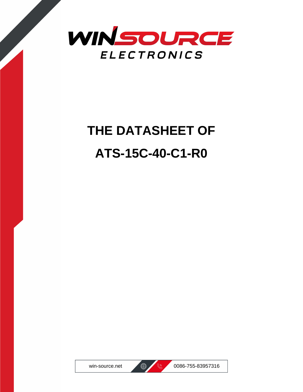

# **THE DATASHEET OF ATS-15C-40-C1-R0**





win-source.net  $\bigoplus$  8 0086-755-83957316